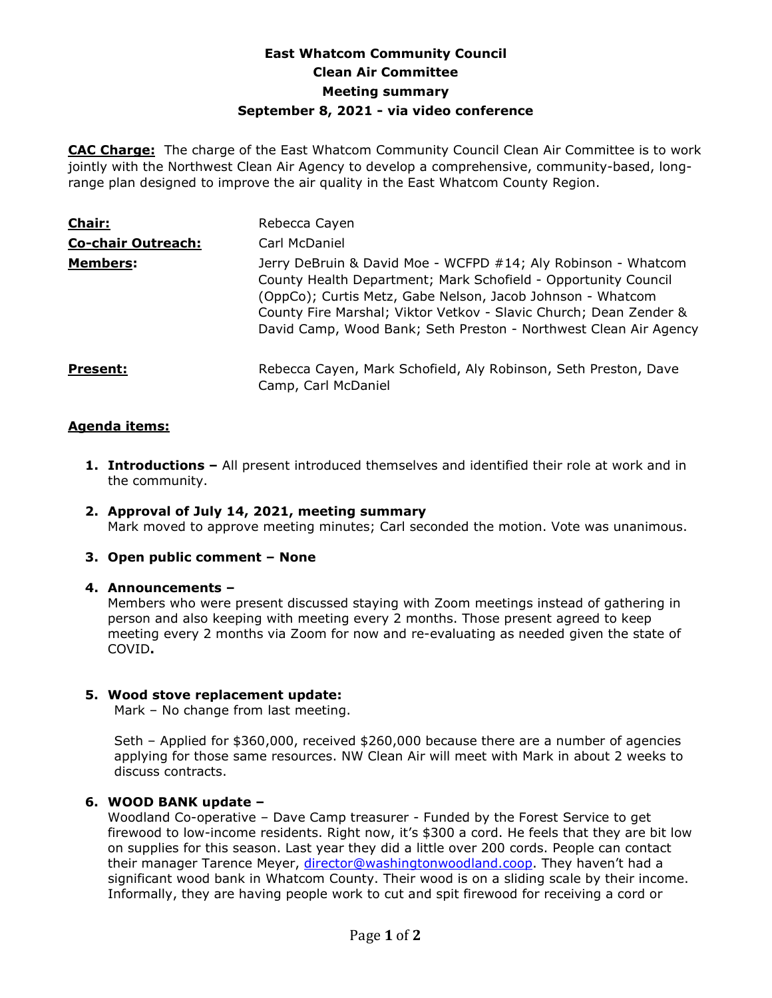# **East Whatcom Community Council Clean Air Committee Meeting summary September 8, 2021 - via video conference**

**CAC Charge:** The charge of the East Whatcom Community Council Clean Air Committee is to work jointly with the Northwest Clean Air Agency to develop a comprehensive, community-based, longrange plan designed to improve the air quality in the East Whatcom County Region.

| Chair:                    | Rebecca Cayen                                                                                                                                                                                                                                                                                                                          |
|---------------------------|----------------------------------------------------------------------------------------------------------------------------------------------------------------------------------------------------------------------------------------------------------------------------------------------------------------------------------------|
| <b>Co-chair Outreach:</b> | Carl McDaniel                                                                                                                                                                                                                                                                                                                          |
| <b>Members:</b>           | Jerry DeBruin & David Moe - WCFPD #14; Aly Robinson - Whatcom<br>County Health Department; Mark Schofield - Opportunity Council<br>(OppCo); Curtis Metz, Gabe Nelson, Jacob Johnson - Whatcom<br>County Fire Marshal; Viktor Vetkov - Slavic Church; Dean Zender &<br>David Camp, Wood Bank; Seth Preston - Northwest Clean Air Agency |
| <b>Present:</b>           | Rebecca Cayen, Mark Schofield, Aly Robinson, Seth Preston, Dave<br>Camp, Carl McDaniel                                                                                                                                                                                                                                                 |

### **Agenda items:**

- **1. Introductions –** All present introduced themselves and identified their role at work and in the community.
- **2. Approval of July 14, 2021, meeting summary**  Mark moved to approve meeting minutes; Carl seconded the motion. Vote was unanimous.
- **3. Open public comment – None**

#### **4. Announcements –**

Members who were present discussed staying with Zoom meetings instead of gathering in person and also keeping with meeting every 2 months. Those present agreed to keep meeting every 2 months via Zoom for now and re-evaluating as needed given the state of COVID**.**

### **5. Wood stove replacement update:**

Mark – No change from last meeting.

Seth – Applied for \$360,000, received \$260,000 because there are a number of agencies applying for those same resources. NW Clean Air will meet with Mark in about 2 weeks to discuss contracts.

### **6. WOOD BANK update –**

Woodland Co-operative – Dave Camp treasurer - Funded by the Forest Service to get firewood to low-income residents. Right now, it's \$300 a cord. He feels that they are bit low on supplies for this season. Last year they did a little over 200 cords. People can contact their manager Tarence Meyer, [director@washingtonwoodland.coop.](mailto:director@washingtonwoodland.coop) They haven't had a significant wood bank in Whatcom County. Their wood is on a sliding scale by their income. Informally, they are having people work to cut and spit firewood for receiving a cord or